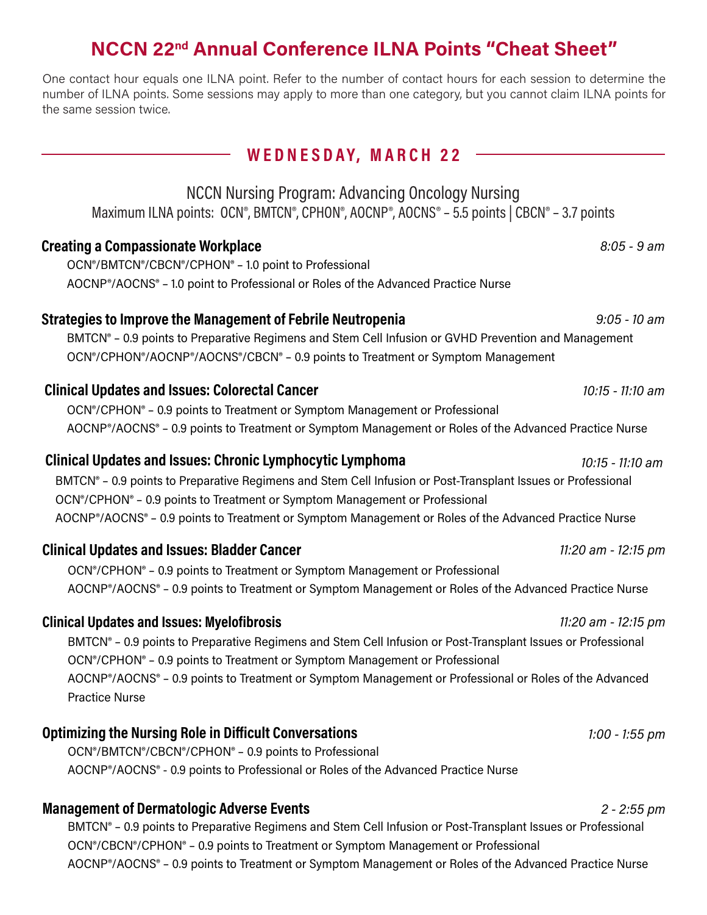## **NCCN 22nd Annual Conference ILNA Points "Cheat Sheet"**

One contact hour equals one ILNA point. Refer to the number of contact hours for each session to determine the number of ILNA points. Some sessions may apply to more than one category, but you cannot claim ILNA points for the same session twice.

### **WE D N E S DAY, M AR CH 2 2**

NCCN Nursing Program: Advancing Oncology Nursing Maximum ILNA points: OCN®, BMTCN®, CPHON®, AOCNP®, AOCNS® - 5.5 points | CBCN® - 3.7 points

#### **Creating a Compassionate Workplace** *8:05 - 9 am*

OCN®/BMTCN®/CBCN®/CPHON® – 1.0 point to Professional AOCNP®/AOCNS® – 1.0 point to Professional or Roles of the Advanced Practice Nurse

#### **Strategies to Improve the Management of Febrile Neutropenia** *9:05 - 10 am*

BMTCN® – 0.9 points to Preparative Regimens and Stem Cell Infusion or GVHD Prevention and Management OCN®/CPHON®/AOCNP®/AOCNS®/CBCN® – 0.9 points to Treatment or Symptom Management

#### **Clinical Updates and Issues: Colorectal Cancer** *10:15 - 11:10 am*

OCN®/CPHON® – 0.9 points to Treatment or Symptom Management or Professional AOCNP®/AOCNS® – 0.9 points to Treatment or Symptom Management or Roles of the Advanced Practice Nurse

#### **Clinical Updates and Issues: Chronic Lymphocytic Lymphoma** *10:15 - 11:10 am*

BMTCN® – 0.9 points to Preparative Regimens and Stem Cell Infusion or Post-Transplant Issues or Professional OCN®/CPHON® – 0.9 points to Treatment or Symptom Management or Professional AOCNP®/AOCNS® – 0.9 points to Treatment or Symptom Management or Roles of the Advanced Practice Nurse

#### **Clinical Updates and Issues: Bladder Cancer** *11:20 am - 12:15 pm*

OCN®/CPHON® – 0.9 points to Treatment or Symptom Management or Professional AOCNP®/AOCNS® – 0.9 points to Treatment or Symptom Management or Roles of the Advanced Practice Nurse

#### **Clinical Updates and Issues: Myelofibrosis** *11:20 am - 12:15 pm*

BMTCN® – 0.9 points to Preparative Regimens and Stem Cell Infusion or Post-Transplant Issues or Professional OCN®/CPHON® – 0.9 points to Treatment or Symptom Management or Professional AOCNP®/AOCNS® – 0.9 points to Treatment or Symptom Management or Professional or Roles of the Advanced Practice Nurse

### **Optimizing the Nursing Role in Difficult Conversations** *1:00 - 1:55 pm*

OCN®/BMTCN®/CBCN®/CPHON® – 0.9 points to Professional AOCNP®/AOCNS® - 0.9 points to Professional or Roles of the Advanced Practice Nurse

### **Management of Dermatologic Adverse Events** *2 - 2:55 pm*

BMTCN® – 0.9 points to Preparative Regimens and Stem Cell Infusion or Post-Transplant Issues or Professional OCN®/CBCN®/CPHON® – 0.9 points to Treatment or Symptom Management or Professional AOCNP®/AOCNS® – 0.9 points to Treatment or Symptom Management or Roles of the Advanced Practice Nurse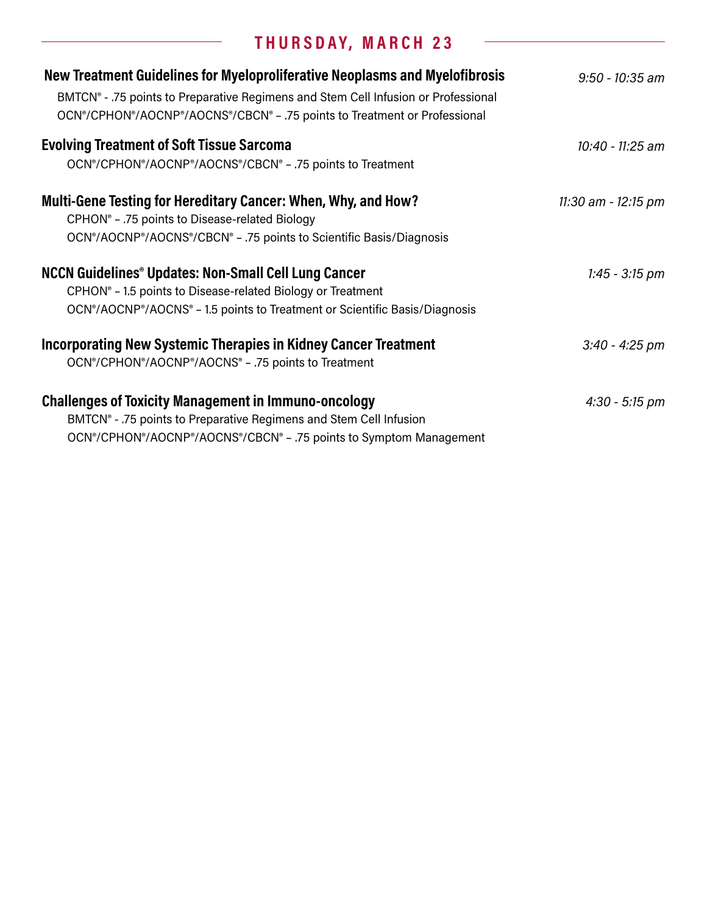# **T H U R S DAY, M AR CH 2 3**

L,

| New Treatment Guidelines for Myeloproliferative Neoplasms and Myelofibrosis<br>BMTCN <sup>®</sup> - .75 points to Preparative Regimens and Stem Cell Infusion or Professional<br>OCN®/CPHON®/AOCNP®/AOCNS®/CBCN® - .75 points to Treatment or Professional | $9:50 - 10:35$ am   |
|------------------------------------------------------------------------------------------------------------------------------------------------------------------------------------------------------------------------------------------------------------|---------------------|
| <b>Evolving Treatment of Soft Tissue Sarcoma</b>                                                                                                                                                                                                           | 10:40 - 11:25 am    |
| OCN®/CPHON®/AOCNP®/AOCNS®/CBCN® - .75 points to Treatment                                                                                                                                                                                                  |                     |
| Multi-Gene Testing for Hereditary Cancer: When, Why, and How?<br>CPHON <sup>®</sup> - .75 points to Disease-related Biology                                                                                                                                | 11:30 am - 12:15 pm |
| OCN®/AOCNP®/AOCNS®/CBCN® - .75 points to Scientific Basis/Diagnosis                                                                                                                                                                                        |                     |
| <b>NCCN Guidelines<sup>®</sup> Updates: Non-Small Cell Lung Cancer</b>                                                                                                                                                                                     | $1:45 - 3:15$ pm    |
| CPHON <sup>®</sup> - 1.5 points to Disease-related Biology or Treatment<br>OCN <sup>®</sup> /AOCNP <sup>®</sup> /AOCNS <sup>®</sup> - 1.5 points to Treatment or Scientific Basis/Diagnosis                                                                |                     |
| Incorporating New Systemic Therapies in Kidney Cancer Treatment<br>OCN®/CPHON®/AOCNP®/AOCNS® - .75 points to Treatment                                                                                                                                     | $3:40 - 4:25$ pm    |
| <b>Challenges of Toxicity Management in Immuno-oncology</b><br>BMTCN <sup>®</sup> - .75 points to Preparative Regimens and Stem Cell Infusion                                                                                                              | $4:30 - 5:15$ pm    |
| OCN®/CPHON®/AOCNP®/AOCNS®/CBCN® - .75 points to Symptom Management                                                                                                                                                                                         |                     |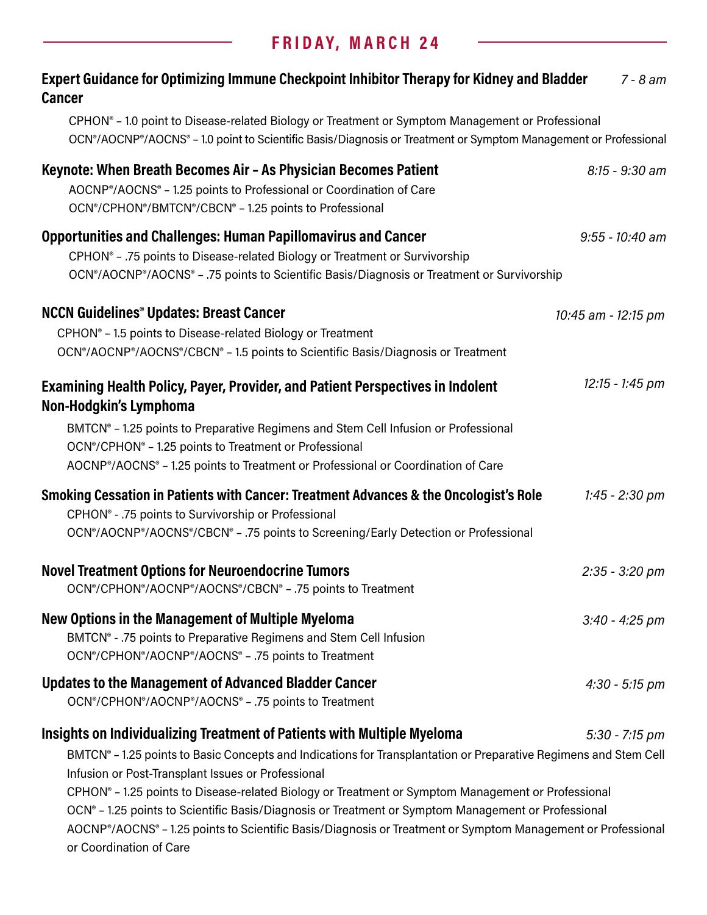# **F R I DAY, M AR CH 24**

| Expert Guidance for Optimizing Immune Checkpoint Inhibitor Therapy for Kidney and Bladder<br>$7 - 8$ am<br><b>Cancer</b>                                                                                                                                                                                                                                                                                                                                                                                                                                                                                                                  |  |  |
|-------------------------------------------------------------------------------------------------------------------------------------------------------------------------------------------------------------------------------------------------------------------------------------------------------------------------------------------------------------------------------------------------------------------------------------------------------------------------------------------------------------------------------------------------------------------------------------------------------------------------------------------|--|--|
| CPHON® - 1.0 point to Disease-related Biology or Treatment or Symptom Management or Professional<br>OCN®/AOCNP®/AOCNS® - 1.0 point to Scientific Basis/Diagnosis or Treatment or Symptom Management or Professional                                                                                                                                                                                                                                                                                                                                                                                                                       |  |  |
| Keynote: When Breath Becomes Air - As Physician Becomes Patient<br>$8:15 - 9:30$ am<br>AOCNP®/AOCNS® - 1.25 points to Professional or Coordination of Care<br>OCN®/CPHON®/BMTCN®/CBCN® - 1.25 points to Professional                                                                                                                                                                                                                                                                                                                                                                                                                      |  |  |
| <b>Opportunities and Challenges: Human Papillomavirus and Cancer</b><br>$9:55 - 10:40$ am<br>CPHON <sup>®</sup> - .75 points to Disease-related Biology or Treatment or Survivorship<br>OCN®/AOCNP®/AOCNS® - .75 points to Scientific Basis/Diagnosis or Treatment or Survivorship                                                                                                                                                                                                                                                                                                                                                        |  |  |
| <b>NCCN Guidelines<sup>®</sup> Updates: Breast Cancer</b><br>10:45 am - 12:15 pm<br>CPHON® - 1.5 points to Disease-related Biology or Treatment<br>OCN®/AOCNP®/AOCNS®/CBCN® - 1.5 points to Scientific Basis/Diagnosis or Treatment                                                                                                                                                                                                                                                                                                                                                                                                       |  |  |
| 12:15 - 1:45 pm<br><b>Examining Health Policy, Payer, Provider, and Patient Perspectives in Indolent</b><br>Non-Hodgkin's Lymphoma                                                                                                                                                                                                                                                                                                                                                                                                                                                                                                        |  |  |
| BMTCN <sup>®</sup> - 1.25 points to Preparative Regimens and Stem Cell Infusion or Professional<br>OCN®/CPHON® - 1.25 points to Treatment or Professional<br>AOCNP®/AOCNS® - 1.25 points to Treatment or Professional or Coordination of Care                                                                                                                                                                                                                                                                                                                                                                                             |  |  |
| Smoking Cessation in Patients with Cancer: Treatment Advances & the Oncologist's Role<br>$1:45 - 2:30$ pm<br>CPHON <sup>®</sup> - .75 points to Survivorship or Professional<br>OCN®/AOCNP®/AOCNS®/CBCN® - .75 points to Screening/Early Detection or Professional                                                                                                                                                                                                                                                                                                                                                                        |  |  |
| <b>Novel Treatment Options for Neuroendocrine Tumors</b><br>$2:35 - 3:20$ pm<br>OCN®/CPHON®/AOCNP®/AOCNS®/CBCN® - .75 points to Treatment                                                                                                                                                                                                                                                                                                                                                                                                                                                                                                 |  |  |
| New Options in the Management of Multiple Myeloma<br>$3:40 - 4:25$ pm<br>BMTCN <sup>®</sup> - .75 points to Preparative Regimens and Stem Cell Infusion<br>OCN®/CPHON®/AOCNP®/AOCNS® - .75 points to Treatment                                                                                                                                                                                                                                                                                                                                                                                                                            |  |  |
| Updates to the Management of Advanced Bladder Cancer<br>$4:30 - 5:15$ pm<br>OCN®/CPHON®/AOCNP®/AOCNS® - .75 points to Treatment                                                                                                                                                                                                                                                                                                                                                                                                                                                                                                           |  |  |
| Insights on Individualizing Treatment of Patients with Multiple Myeloma<br>$5:30 - 7:15$ pm<br>BMTCN® - 1.25 points to Basic Concepts and Indications for Transplantation or Preparative Regimens and Stem Cell<br>Infusion or Post-Transplant Issues or Professional<br>CPHON® - 1.25 points to Disease-related Biology or Treatment or Symptom Management or Professional<br>OCN <sup>®</sup> - 1.25 points to Scientific Basis/Diagnosis or Treatment or Symptom Management or Professional<br>AOCNP®/AOCNS® - 1.25 points to Scientific Basis/Diagnosis or Treatment or Symptom Management or Professional<br>or Coordination of Care |  |  |